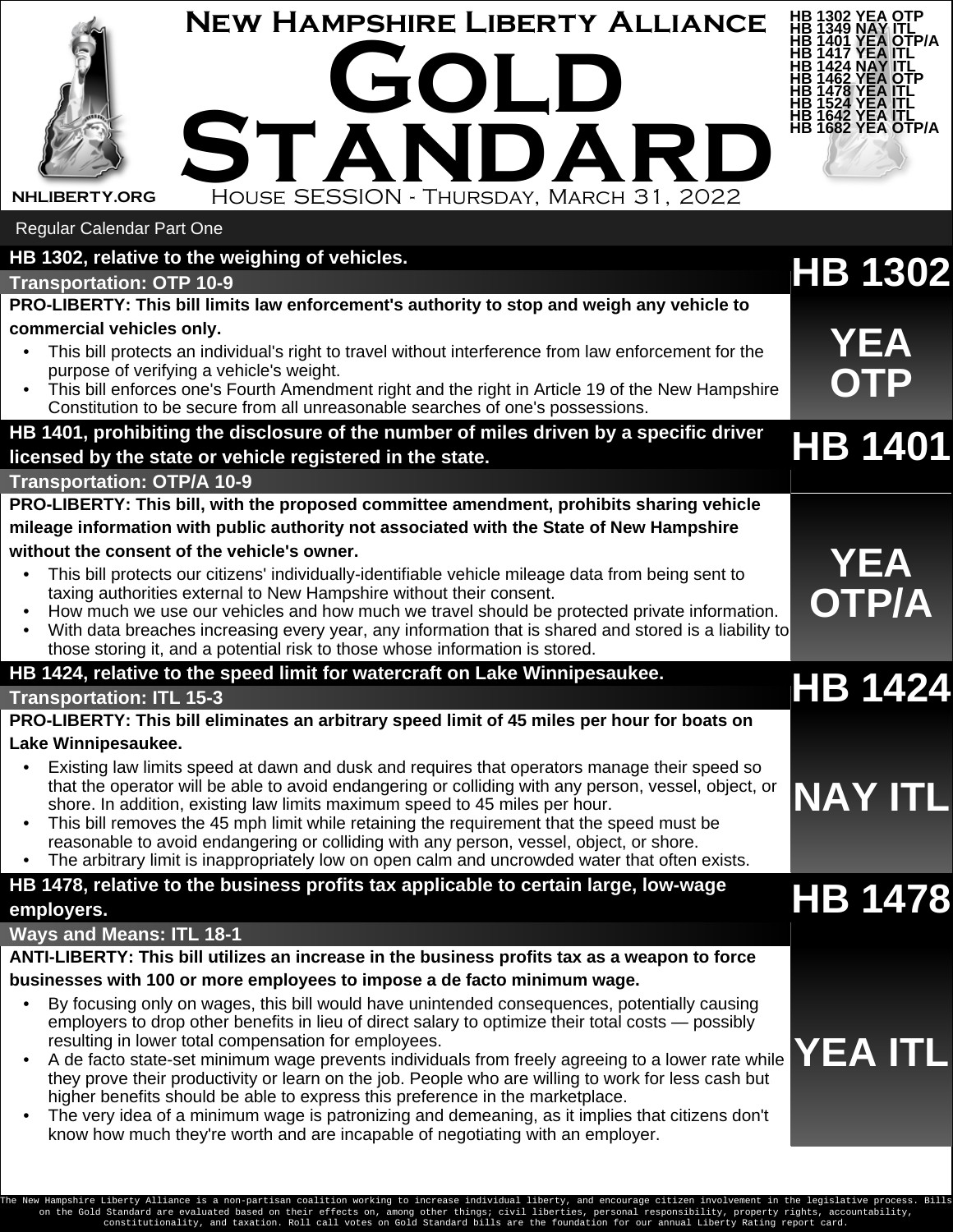| <b>NEW HAMPSHIRE LIBERTY ALLIANCE</b><br>GOLD<br>STANDARD<br>HOUSE SESSION - THURSDAY, MARCH 31, 2022<br><b>NHLIBERTY.ORG</b>                                                                            | 1302 YEA OTP<br>1349 NAY ITL<br>YEA OTP/A<br>YEA ITL<br>HB 1642 YEA ITL<br>HB 1682 YEA OTP/A |
|----------------------------------------------------------------------------------------------------------------------------------------------------------------------------------------------------------|----------------------------------------------------------------------------------------------|
| <b>Regular Calendar Part One</b>                                                                                                                                                                         |                                                                                              |
| HB 1302, relative to the weighing of vehicles.                                                                                                                                                           | <b>HB 1302</b>                                                                               |
| <b>Transportation: OTP 10-9</b><br>PRO-LIBERTY: This bill limits law enforcement's authority to stop and weigh any vehicle to                                                                            |                                                                                              |
| commercial vehicles only.                                                                                                                                                                                |                                                                                              |
| This bill protects an individual's right to travel without interference from law enforcement for the                                                                                                     | <b>YEA</b>                                                                                   |
| purpose of verifying a vehicle's weight.                                                                                                                                                                 | <b>OTP</b>                                                                                   |
| • This bill enforces one's Fourth Amendment right and the right in Article 19 of the New Hampshire<br>Constitution to be secure from all unreasonable searches of one's possessions.                     |                                                                                              |
| HB 1401, prohibiting the disclosure of the number of miles driven by a specific driver                                                                                                                   |                                                                                              |
| licensed by the state or vehicle registered in the state.                                                                                                                                                | <b>HB 1401</b>                                                                               |
| Transportation: OTP/A 10-9                                                                                                                                                                               |                                                                                              |
| PRO-LIBERTY: This bill, with the proposed committee amendment, prohibits sharing vehicle                                                                                                                 |                                                                                              |
| mileage information with public authority not associated with the State of New Hampshire                                                                                                                 |                                                                                              |
| without the consent of the vehicle's owner.                                                                                                                                                              |                                                                                              |
| This bill protects our citizens' individually-identifiable vehicle mileage data from being sent to                                                                                                       | <b>YEA</b>                                                                                   |
| taxing authorities external to New Hampshire without their consent.<br>How much we use our vehicles and how much we travel should be protected private information.                                      | <b>OTP/A</b>                                                                                 |
| With data breaches increasing every year, any information that is shared and stored is a liability to                                                                                                    |                                                                                              |
| those storing it, and a potential risk to those whose information is stored.                                                                                                                             |                                                                                              |
| HB 1424, relative to the speed limit for watercraft on Lake Winnipesaukee.                                                                                                                               | <b>HB 1424</b>                                                                               |
| <b>Transportation: ITL 15-3</b>                                                                                                                                                                          |                                                                                              |
| PRO-LIBERTY: This bill eliminates an arbitrary speed limit of 45 miles per hour for boats on                                                                                                             |                                                                                              |
| Lake Winnipesaukee.                                                                                                                                                                                      |                                                                                              |
| Existing law limits speed at dawn and dusk and requires that operators manage their speed so<br>that the operator will be able to avoid endangering or colliding with any person, vessel, object, or     |                                                                                              |
| shore. In addition, existing law limits maximum speed to 45 miles per hour.                                                                                                                              | <b>NAY ITL</b>                                                                               |
| This bill removes the 45 mph limit while retaining the requirement that the speed must be                                                                                                                |                                                                                              |
| reasonable to avoid endangering or colliding with any person, vessel, object, or shore.<br>• The arbitrary limit is inappropriately low on open calm and uncrowded water that often exists.              |                                                                                              |
| HB 1478, relative to the business profits tax applicable to certain large, low-wage                                                                                                                      |                                                                                              |
| employers.                                                                                                                                                                                               | <b>HB 1478</b>                                                                               |
| <b>Ways and Means: ITL 18-1</b>                                                                                                                                                                          |                                                                                              |
| ANTI-LIBERTY: This bill utilizes an increase in the business profits tax as a weapon to force                                                                                                            |                                                                                              |
| businesses with 100 or more employees to impose a de facto minimum wage.                                                                                                                                 |                                                                                              |
| By focusing only on wages, this bill would have unintended consequences, potentially causing                                                                                                             |                                                                                              |
|                                                                                                                                                                                                          |                                                                                              |
| employers to drop other benefits in lieu of direct salary to optimize their total costs — possibly                                                                                                       |                                                                                              |
| resulting in lower total compensation for employees.                                                                                                                                                     | YEA ITL                                                                                      |
| A de facto state-set minimum wage prevents individuals from freely agreeing to a lower rate while<br>they prove their productivity or learn on the job. People who are willing to work for less cash but |                                                                                              |
| higher benefits should be able to express this preference in the marketplace.<br>The very idea of a minimum wage is patronizing and demeaning, as it implies that citizens don't                         |                                                                                              |

The New Hampshire Liberty Alliance is a non-partisan coalition working to increase individual liberty, and encourage citizen involvement in the legislative process. Bills<br>on the Gold Standard are valuated based on their ef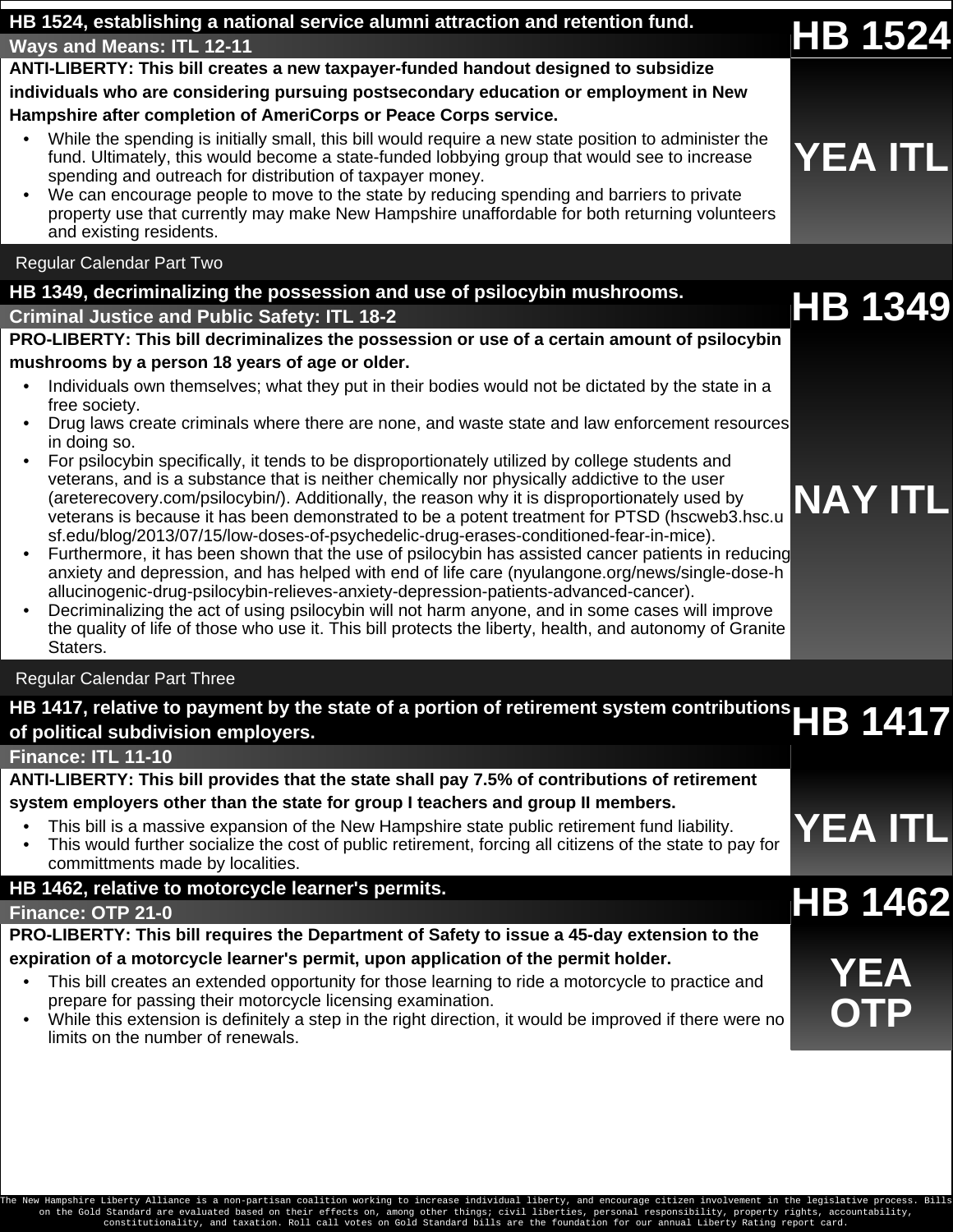| HB 1524, establishing a national service alumni attraction and retention fund.                                                                                                                                                                                                                                                                                                                                                                                                               | <b>HB 1524</b> |
|----------------------------------------------------------------------------------------------------------------------------------------------------------------------------------------------------------------------------------------------------------------------------------------------------------------------------------------------------------------------------------------------------------------------------------------------------------------------------------------------|----------------|
| <b>Ways and Means: ITL 12-11</b>                                                                                                                                                                                                                                                                                                                                                                                                                                                             |                |
| ANTI-LIBERTY: This bill creates a new taxpayer-funded handout designed to subsidize                                                                                                                                                                                                                                                                                                                                                                                                          |                |
| individuals who are considering pursuing postsecondary education or employment in New                                                                                                                                                                                                                                                                                                                                                                                                        |                |
| Hampshire after completion of AmeriCorps or Peace Corps service.                                                                                                                                                                                                                                                                                                                                                                                                                             |                |
| While the spending is initially small, this bill would require a new state position to administer the<br>fund. Ultimately, this would become a state-funded lobbying group that would see to increase<br>spending and outreach for distribution of taxpayer money.<br>We can encourage people to move to the state by reducing spending and barriers to private<br>property use that currently may make New Hampshire unaffordable for both returning volunteers<br>and existing residents.  | <b>YEA ITL</b> |
| <b>Regular Calendar Part Two</b>                                                                                                                                                                                                                                                                                                                                                                                                                                                             |                |
| HB 1349, decriminalizing the possession and use of psilocybin mushrooms.                                                                                                                                                                                                                                                                                                                                                                                                                     |                |
| <b>Criminal Justice and Public Safety: ITL 18-2</b>                                                                                                                                                                                                                                                                                                                                                                                                                                          | <b>HB 1349</b> |
| PRO-LIBERTY: This bill decriminalizes the possession or use of a certain amount of psilocybin                                                                                                                                                                                                                                                                                                                                                                                                |                |
| mushrooms by a person 18 years of age or older.                                                                                                                                                                                                                                                                                                                                                                                                                                              |                |
| Individuals own themselves; what they put in their bodies would not be dictated by the state in a<br>free society.                                                                                                                                                                                                                                                                                                                                                                           |                |
| Drug laws create criminals where there are none, and waste state and law enforcement resources<br>in doing so.                                                                                                                                                                                                                                                                                                                                                                               |                |
| For psilocybin specifically, it tends to be disproportionately utilized by college students and<br>veterans, and is a substance that is neither chemically nor physically addictive to the user<br>(areterecovery.com/psilocybin/). Additionally, the reason why it is disproportionately used by<br>veterans is because it has been demonstrated to be a potent treatment for PTSD (hscweb3.hsc.u<br>sf.edu/blog/2013/07/15/low-doses-of-psychedelic-drug-erases-conditioned-fear-in-mice). | <b>NAY ITL</b> |
| Furthermore, it has been shown that the use of psilocybin has assisted cancer patients in reducing<br>anxiety and depression, and has helped with end of life care (nyulangone.org/news/single-dose-h<br>allucinogenic-drug-psilocybin-relieves-anxiety-depression-patients-advanced-cancer).<br>Decriminalizing the act of using psilocybin will not harm anyone and in some cases will improve                                                                                             |                |

• Decriminalizing the act of using psilocybin will not harm anyone, and in some cases will improve the quality of life of those who use it. This bill protects the liberty, health, and autonomy of Granite Staters.

## Regular Calendar Part Three

| HB 1417, relative to payment by the state of a portion of retirement system contributions $\mathsf{HB}$ 1417 |  |  |
|--------------------------------------------------------------------------------------------------------------|--|--|
| of political subdivision employers.                                                                          |  |  |

**Finance: ITL 11-10**

| ANTI-LIBERTY: This bill provides that the state shall pay 7.5% of contributions of retirement |
|-----------------------------------------------------------------------------------------------|
| system employers other than the state for group I teachers and group II members.              |

- This bill is a massive expansion of the New Hampshire state public retirement fund liability.
- This bill is a massive expansion of the New Hampshire state public retirement fund liability.<br>This would further socialize the cost of public retirement, forcing all citizens of the state to pay for **YEA ITL** committments made by localities.

## **[HB 1462](https://bills.nhliberty.org/bills//2022/HB1462), relative to motorcycle learner's permits. Finance: OTP 21-0 HB 1462**

## **PRO-LIBERTY: This bill requires the Department of Safety to issue a 45-day extension to the**

- **expiration of a motorcycle learner's permit, upon application of the permit holder.**<br>• This bill creates an extended opportunity for those learning to ride a motorcycle to practice and prepare for passing their motorcycle licensing examination.
	- While this extension is definitely a step in the right direction, it would be improved if there were no limits on the number of renewals.

**OTP**